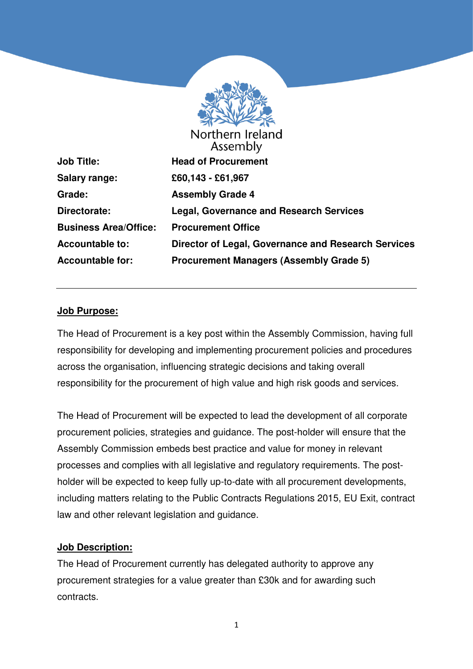

**Salary range: £60,143 - £61,967 Grade: Assembly Grade 4 Business Area/Office: Procurement Office** 

Assembly **Job Title: Head of Procurement Directorate: Legal, Governance and Research Services Accountable to: Director of Legal, Governance and Research Services Accountable for: Procurement Managers (Assembly Grade 5)** 

### **Job Purpose:**

The Head of Procurement is a key post within the Assembly Commission, having full responsibility for developing and implementing procurement policies and procedures across the organisation, influencing strategic decisions and taking overall responsibility for the procurement of high value and high risk goods and services.

The Head of Procurement will be expected to lead the development of all corporate procurement policies, strategies and guidance. The post-holder will ensure that the Assembly Commission embeds best practice and value for money in relevant processes and complies with all legislative and regulatory requirements. The postholder will be expected to keep fully up-to-date with all procurement developments, including matters relating to the Public Contracts Regulations 2015, EU Exit, contract law and other relevant legislation and guidance.

### **Job Description:**

The Head of Procurement currently has delegated authority to approve any procurement strategies for a value greater than £30k and for awarding such contracts.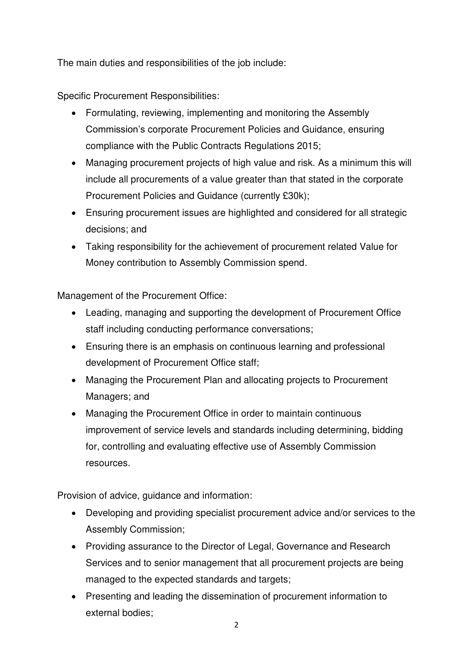The main duties and responsibilities of the job include:

Specific Procurement Responsibilities:

- Formulating, reviewing, implementing and monitoring the Assembly Commission's corporate Procurement Policies and Guidance, ensuring compliance with the Public Contracts Regulations 2015;
- Managing procurement projects of high value and risk. As a minimum this will include all procurements of a value greater than that stated in the corporate Procurement Policies and Guidance (currently £30k);
- Ensuring procurement issues are highlighted and considered for all strategic decisions; and
- Taking responsibility for the achievement of procurement related Value for Money contribution to Assembly Commission spend.

Management of the Procurement Office:

- Leading, managing and supporting the development of Procurement Office staff including conducting performance conversations;
- Ensuring there is an emphasis on continuous learning and professional development of Procurement Office staff;
- Managing the Procurement Plan and allocating projects to Procurement Managers; and
- Managing the Procurement Office in order to maintain continuous improvement of service levels and standards including determining, bidding for, controlling and evaluating effective use of Assembly Commission resources.

Provision of advice, guidance and information:

- Developing and providing specialist procurement advice and/or services to the Assembly Commission;
- Providing assurance to the Director of Legal, Governance and Research Services and to senior management that all procurement projects are being managed to the expected standards and targets;
- Presenting and leading the dissemination of procurement information to external bodies;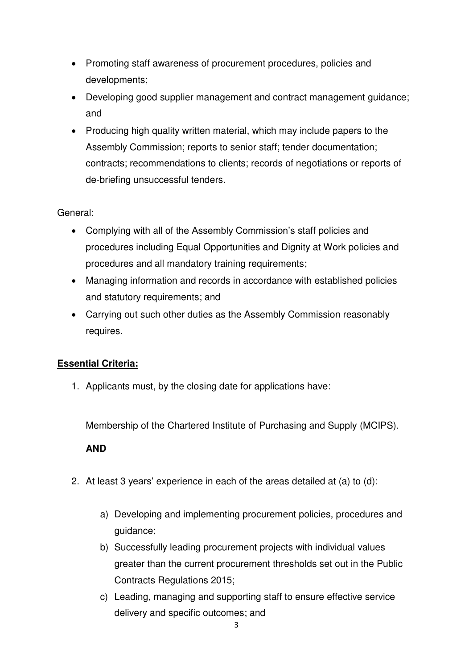- Promoting staff awareness of procurement procedures, policies and developments;
- Developing good supplier management and contract management guidance; and
- Producing high quality written material, which may include papers to the Assembly Commission; reports to senior staff; tender documentation; contracts; recommendations to clients; records of negotiations or reports of de-briefing unsuccessful tenders.

### General:

- Complying with all of the Assembly Commission's staff policies and procedures including Equal Opportunities and Dignity at Work policies and procedures and all mandatory training requirements;
- Managing information and records in accordance with established policies and statutory requirements; and
- Carrying out such other duties as the Assembly Commission reasonably requires.

# **Essential Criteria:**

1. Applicants must, by the closing date for applications have:

Membership of the Chartered Institute of Purchasing and Supply (MCIPS).

### **AND**

- 2. At least 3 years' experience in each of the areas detailed at (a) to (d):
	- a) Developing and implementing procurement policies, procedures and guidance;
	- b) Successfully leading procurement projects with individual values greater than the current procurement thresholds set out in the Public Contracts Regulations 2015;
	- c) Leading, managing and supporting staff to ensure effective service delivery and specific outcomes; and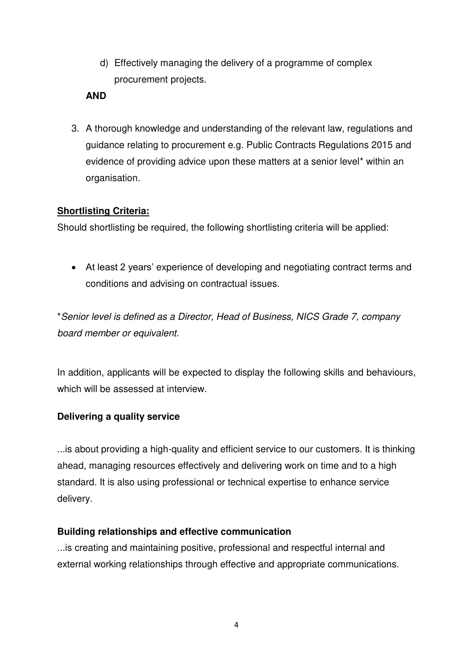d) Effectively managing the delivery of a programme of complex procurement projects.

### **AND**

3. A thorough knowledge and understanding of the relevant law, regulations and guidance relating to procurement e.g. Public Contracts Regulations 2015 and evidence of providing advice upon these matters at a senior level\* within an organisation.

### **Shortlisting Criteria:**

Should shortlisting be required, the following shortlisting criteria will be applied:

• At least 2 years' experience of developing and negotiating contract terms and conditions and advising on contractual issues.

\*Senior level is defined as a Director, Head of Business, NICS Grade 7, company board member or equivalent.

In addition, applicants will be expected to display the following skills and behaviours, which will be assessed at interview.

# **Delivering a quality service**

...is about providing a high-quality and efficient service to our customers. It is thinking ahead, managing resources effectively and delivering work on time and to a high standard. It is also using professional or technical expertise to enhance service delivery.

### **Building relationships and effective communication**

...is creating and maintaining positive, professional and respectful internal and external working relationships through effective and appropriate communications.